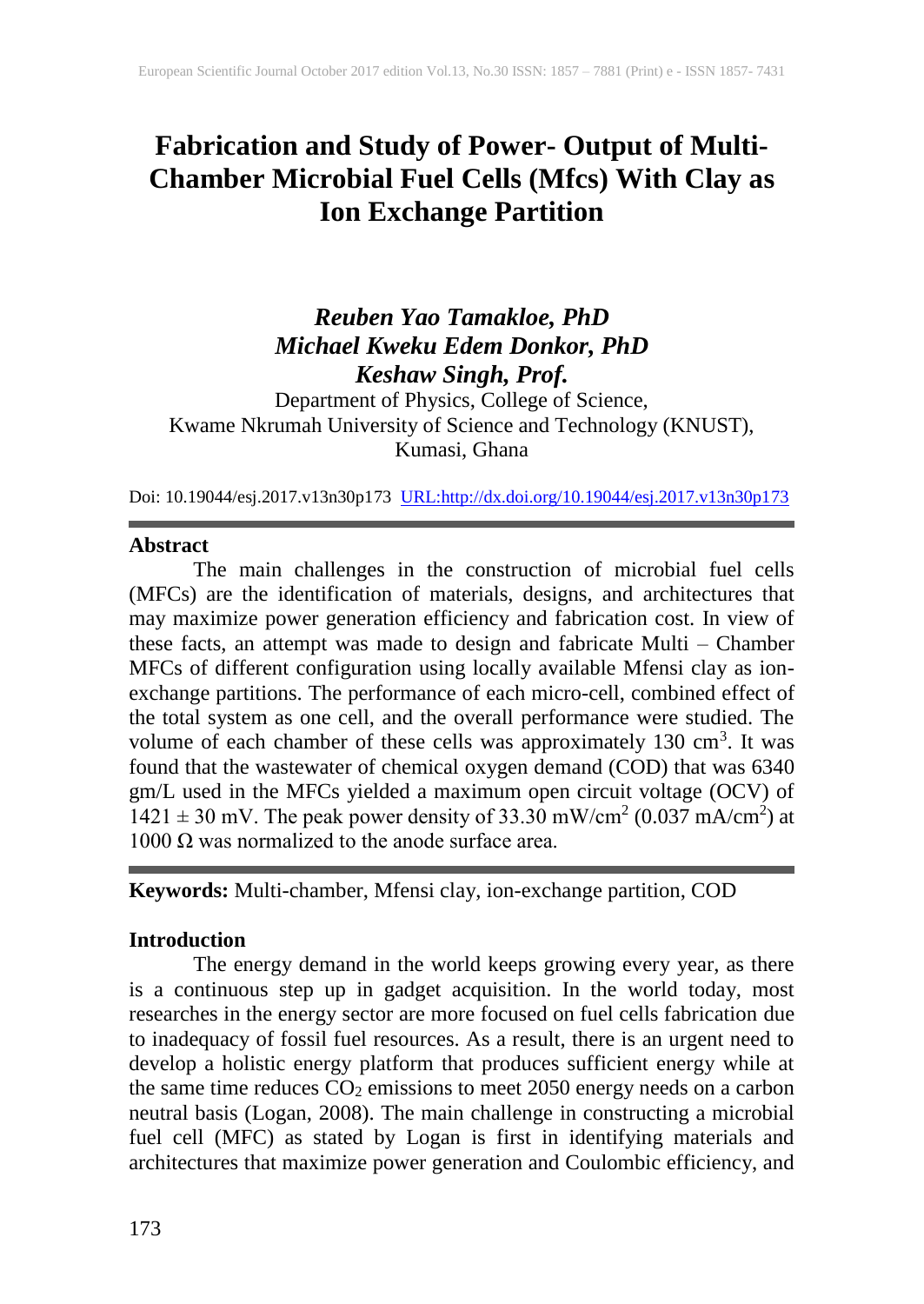# **Fabrication and Study of Power- Output of Multi-Chamber Microbial Fuel Cells (Mfcs) With Clay as Ion Exchange Partition**

# *Reuben Yao Tamakloe, PhD Michael Kweku Edem Donkor, PhD Keshaw Singh, Prof.*

Department of Physics, College of Science, Kwame Nkrumah University of Science and Technology (KNUST), Kumasi, Ghana

Doi: 10.19044/esj.2017.v13n30p173 [URL:http://dx.doi.org/10.19044/esj.2017.v13n30p173](http://dx.doi.org/10.19044/esj.2017.v13n30p173)

#### **Abstract**

The main challenges in the construction of microbial fuel cells (MFCs) are the identification of materials, designs, and architectures that may maximize power generation efficiency and fabrication cost. In view of these facts, an attempt was made to design and fabricate Multi – Chamber MFCs of different configuration using locally available Mfensi clay as ionexchange partitions. The performance of each micro-cell, combined effect of the total system as one cell, and the overall performance were studied. The volume of each chamber of these cells was approximately  $130 \text{ cm}^3$ . It was found that the wastewater of chemical oxygen demand (COD) that was 6340 gm/L used in the MFCs yielded a maximum open circuit voltage (OCV) of  $1421 \pm 30$  mV. The peak power density of 33.30 mW/cm<sup>2</sup> (0.037 mA/cm<sup>2</sup>) at 1000 Ω was normalized to the anode surface area.

**Keywords:** Multi-chamber, Mfensi clay, ion-exchange partition, COD

### **Introduction**

The energy demand in the world keeps growing every year, as there is a continuous step up in gadget acquisition. In the world today, most researches in the energy sector are more focused on fuel cells fabrication due to inadequacy of fossil fuel resources. As a result, there is an urgent need to develop a holistic energy platform that produces sufficient energy while at the same time reduces  $CO<sub>2</sub>$  emissions to meet 2050 energy needs on a carbon neutral basis (Logan, 2008). The main challenge in constructing a microbial fuel cell (MFC) as stated by Logan is first in identifying materials and architectures that maximize power generation and Coulombic efficiency, and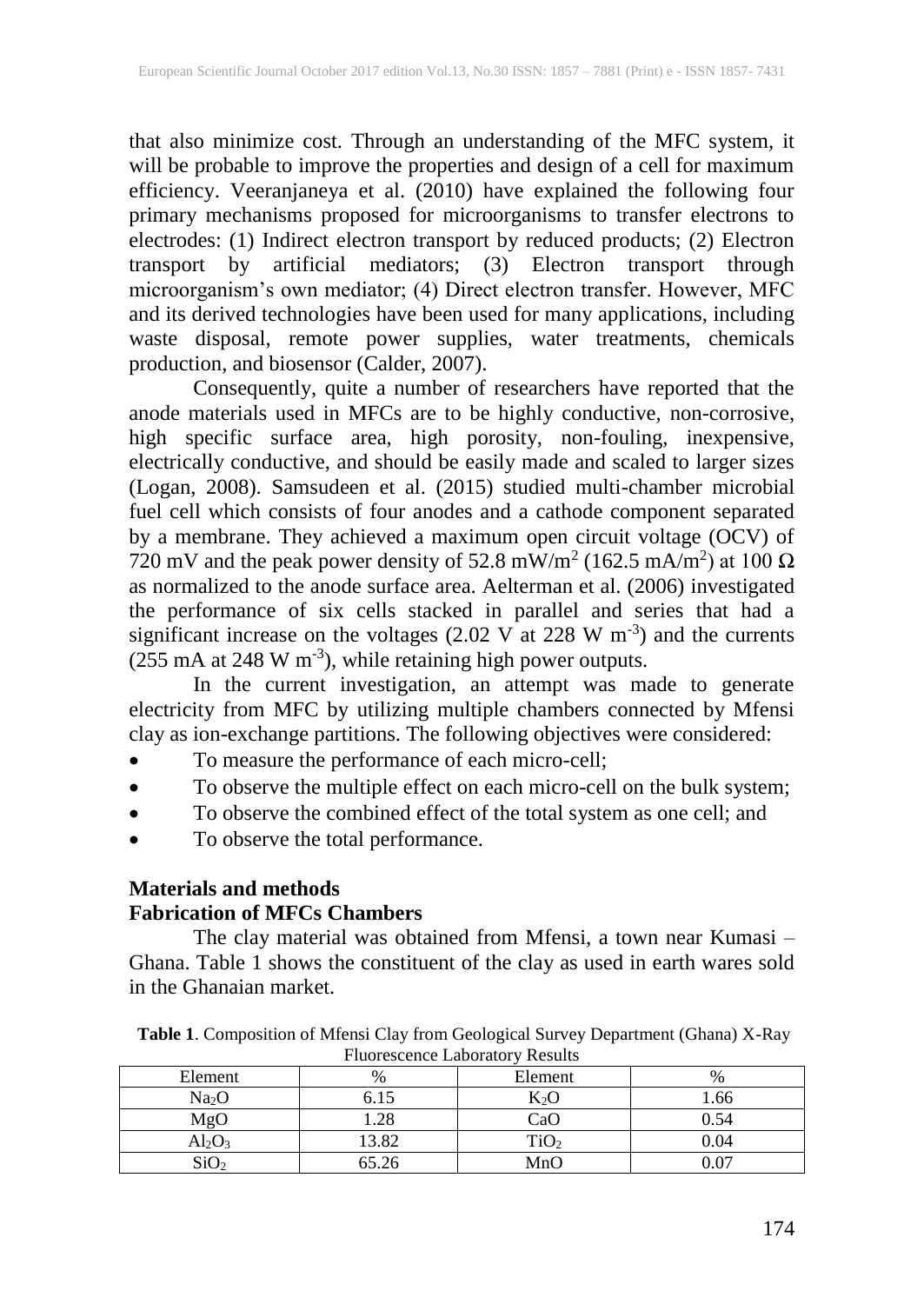that also minimize cost. Through an understanding of the MFC system, it will be probable to improve the properties and design of a cell for maximum efficiency. Veeranjaneya et al. (2010) have explained the following four primary mechanisms proposed for microorganisms to transfer electrons to electrodes: (1) Indirect electron transport by reduced products; (2) Electron transport by artificial mediators; (3) Electron transport through microorganism's own mediator; (4) Direct electron transfer. However, MFC and its derived technologies have been used for many applications, including waste disposal, remote power supplies, water treatments, chemicals production, and biosensor (Calder, 2007).

Consequently, quite a number of researchers have reported that the anode materials used in MFCs are to be highly conductive, non-corrosive, high specific surface area, high porosity, non-fouling, inexpensive, electrically conductive, and should be easily made and scaled to larger sizes (Logan, 2008). Samsudeen et al. (2015) studied multi-chamber microbial fuel cell which consists of four anodes and a cathode component separated by a membrane. They achieved a maximum open circuit voltage (OCV) of 720 mV and the peak power density of 52.8 mW/m<sup>2</sup> (162.5 mA/m<sup>2</sup>) at 100  $\Omega$ as normalized to the anode surface area. Aelterman et al. (2006) investigated the performance of six cells stacked in parallel and series that had a significant increase on the voltages  $(2.02 \text{ V at } 228 \text{ W m}^{-3})$  and the currents  $(255 \text{ mA at } 248 \text{ W m}^{-3})$ , while retaining high power outputs.

In the current investigation, an attempt was made to generate electricity from MFC by utilizing multiple chambers connected by Mfensi clay as ion-exchange partitions. The following objectives were considered:

- To measure the performance of each micro-cell;
- To observe the multiple effect on each micro-cell on the bulk system;
- To observe the combined effect of the total system as one cell; and
- To observe the total performance.

#### **Materials and methods Fabrication of MFCs Chambers**

The clay material was obtained from Mfensi, a town near Kumasi – Ghana. Table 1 shows the constituent of the clay as used in earth wares sold in the Ghanaian market.

| Thuorescence Laboratory Results |       |         |      |  |  |  |  |
|---------------------------------|-------|---------|------|--|--|--|--|
| Element                         | %     | Element | $\%$ |  |  |  |  |
| Na <sub>2</sub> O               |       | $K_2O$  | 1.66 |  |  |  |  |
| MgO                             | .28   | CaO     | 0.54 |  |  |  |  |
| $Al_2O_3$                       | 3.82  | TiO2    | 0.04 |  |  |  |  |
| SiO <sub>2</sub>                | 55.26 | MnO     |      |  |  |  |  |

**Table 1**. Composition of Mfensi Clay from Geological Survey Department (Ghana) X-Ray Fluorescence Laboratory Results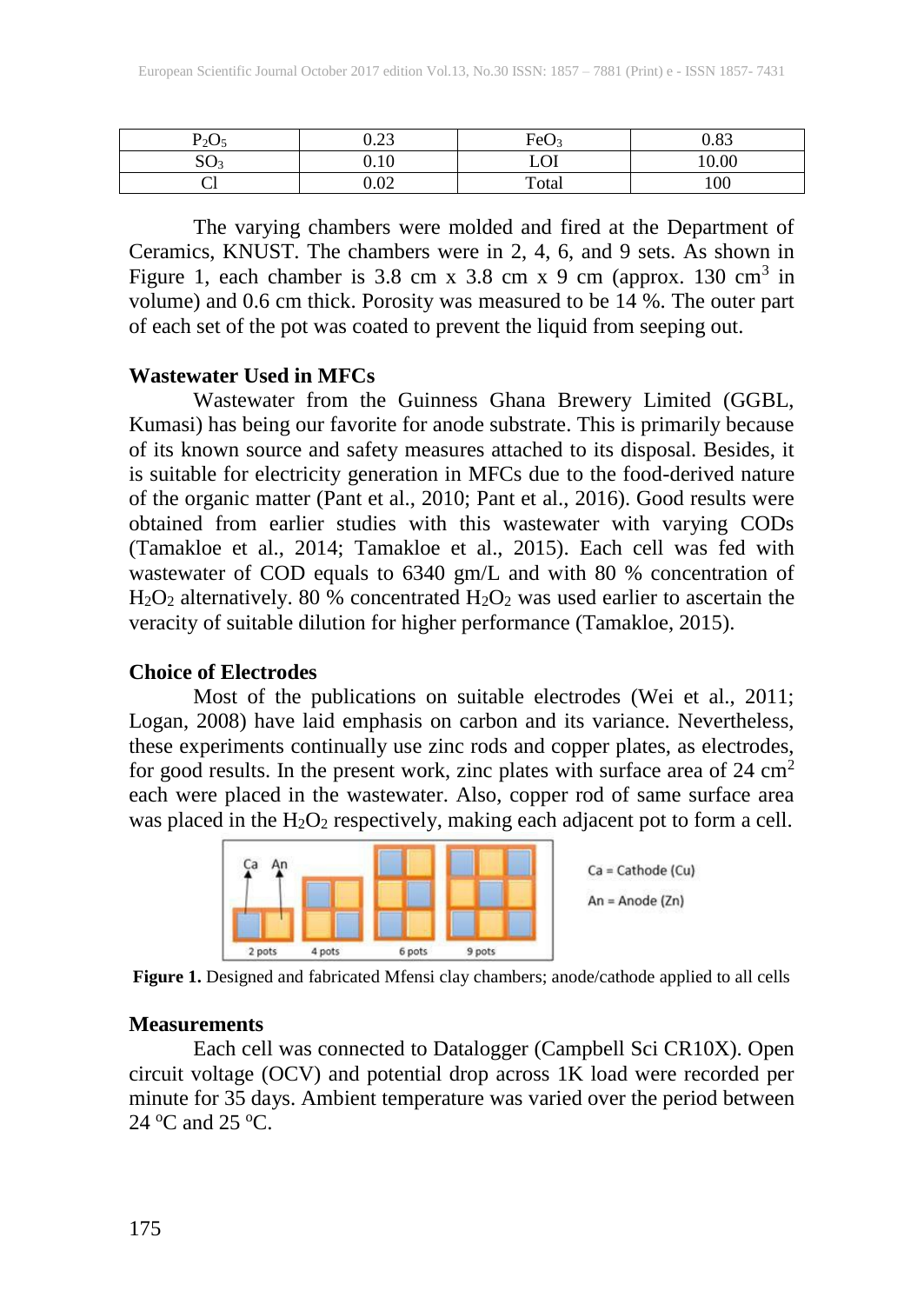| $P_2O_5$              | ററ<br>∪.∠J               | FeO <sub>3</sub> | 0.83  |
|-----------------------|--------------------------|------------------|-------|
| cΩ<br>SO <sub>3</sub> | 1 <sub>0</sub><br>v. I v | LOI              | 10.00 |
| ◡                     | 0.02                     | Total            | 100   |

The varying chambers were molded and fired at the Department of Ceramics, KNUST. The chambers were in 2, 4, 6, and 9 sets. As shown in Figure 1, each chamber is 3.8 cm x 3.8 cm x 9 cm (approx. 130 cm<sup>3</sup> in volume) and 0.6 cm thick. Porosity was measured to be 14 %. The outer part of each set of the pot was coated to prevent the liquid from seeping out.

### **Wastewater Used in MFCs**

Wastewater from the Guinness Ghana Brewery Limited (GGBL, Kumasi) has being our favorite for anode substrate. This is primarily because of its known source and safety measures attached to its disposal. Besides, it is suitable for electricity generation in MFCs due to the food-derived nature of the organic matter (Pant et al., 2010; Pant et al., 2016). Good results were obtained from earlier studies with this wastewater with varying CODs (Tamakloe et al., 2014; Tamakloe et al., 2015). Each cell was fed with wastewater of COD equals to 6340 gm/L and with 80 % concentration of  $H_2O_2$  alternatively. 80 % concentrated  $H_2O_2$  was used earlier to ascertain the veracity of suitable dilution for higher performance (Tamakloe, 2015).

## **Choice of Electrodes**

Most of the publications on suitable electrodes (Wei et al., 2011; Logan, 2008) have laid emphasis on carbon and its variance. Nevertheless, these experiments continually use zinc rods and copper plates, as electrodes, for good results. In the present work, zinc plates with surface area of  $24 \text{ cm}^2$ each were placed in the wastewater. Also, copper rod of same surface area was placed in the  $H_2O_2$  respectively, making each adjacent pot to form a cell.



**Figure 1.** Designed and fabricated Mfensi clay chambers; anode/cathode applied to all cells

### **Measurements**

Each cell was connected to Datalogger (Campbell Sci CR10X). Open circuit voltage (OCV) and potential drop across 1K load were recorded per minute for 35 days. Ambient temperature was varied over the period between  $24^{\circ}$ C and  $25^{\circ}$ C.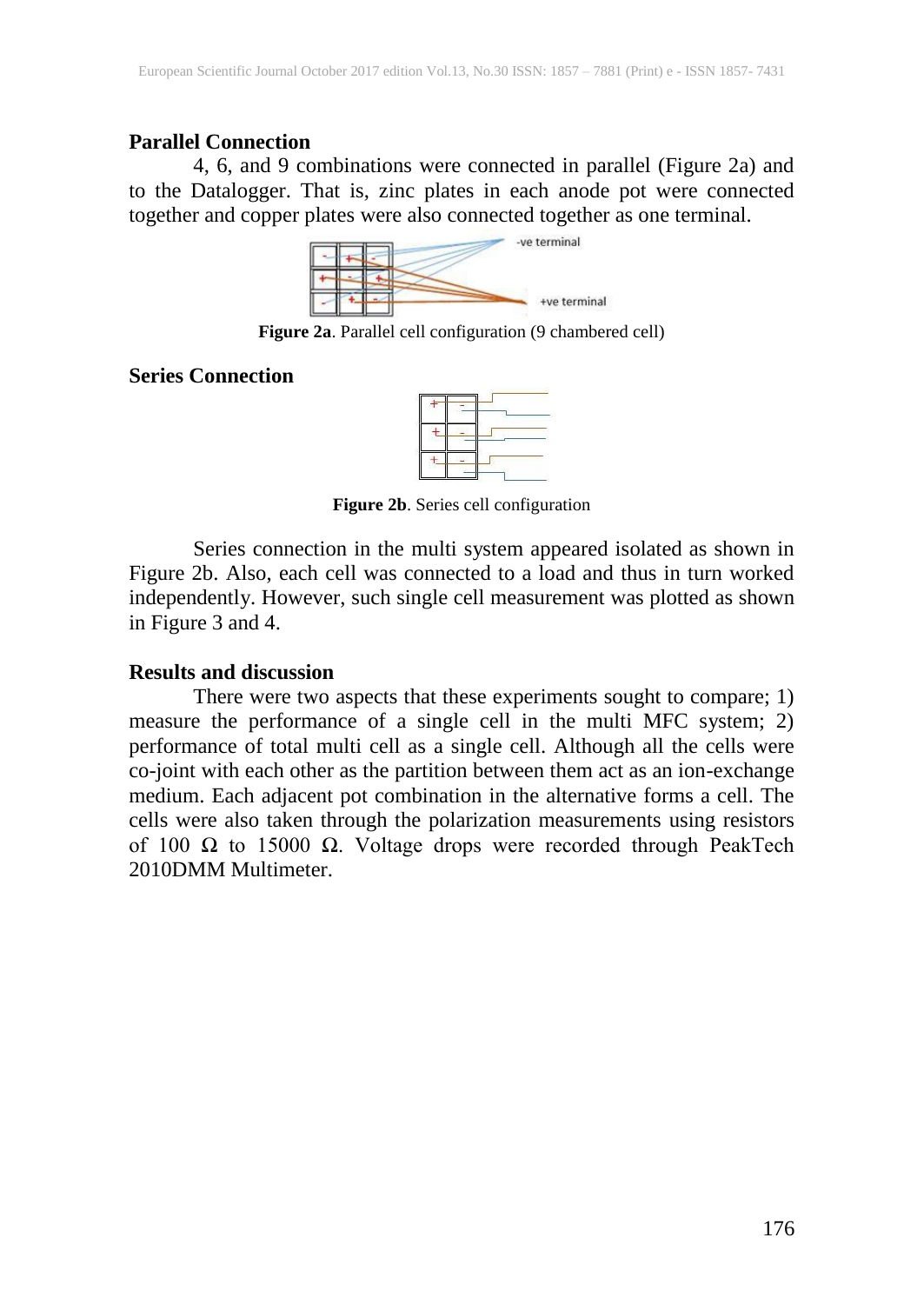### **Parallel Connection**

4, 6, and 9 combinations were connected in parallel (Figure 2a) and to the Datalogger. That is, zinc plates in each anode pot were connected together and copper plates were also connected together as one terminal.



**Figure 2a**. Parallel cell configuration (9 chambered cell)

**Series Connection**

**Figure 2b**. Series cell configuration

Series connection in the multi system appeared isolated as shown in Figure 2b. Also, each cell was connected to a load and thus in turn worked independently. However, such single cell measurement was plotted as shown in Figure 3 and 4.

### **Results and discussion**

There were two aspects that these experiments sought to compare; 1) measure the performance of a single cell in the multi MFC system; 2) performance of total multi cell as a single cell. Although all the cells were co-joint with each other as the partition between them act as an ion-exchange medium. Each adjacent pot combination in the alternative forms a cell. The cells were also taken through the polarization measurements using resistors of 100  $\Omega$  to 15000  $\Omega$ . Voltage drops were recorded through PeakTech 2010DMM Multimeter.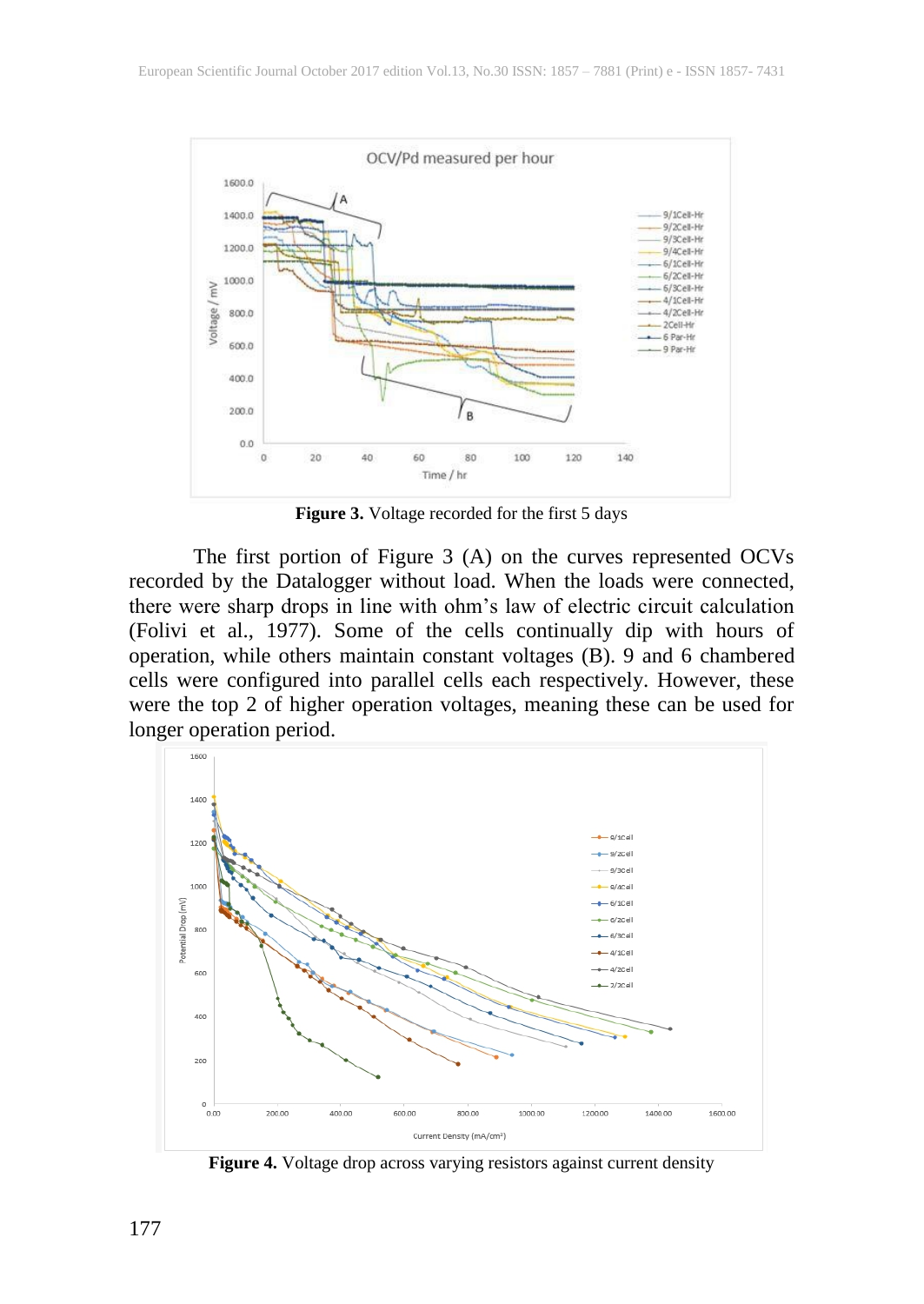

**Figure 3.** Voltage recorded for the first 5 days

The first portion of Figure 3 (A) on the curves represented OCVs recorded by the Datalogger without load. When the loads were connected, there were sharp drops in line with ohm's law of electric circuit calculation (Folivi et al., 1977). Some of the cells continually dip with hours of operation, while others maintain constant voltages (B). 9 and 6 chambered cells were configured into parallel cells each respectively. However, these were the top 2 of higher operation voltages, meaning these can be used for longer operation period.



**Figure 4.** Voltage drop across varying resistors against current density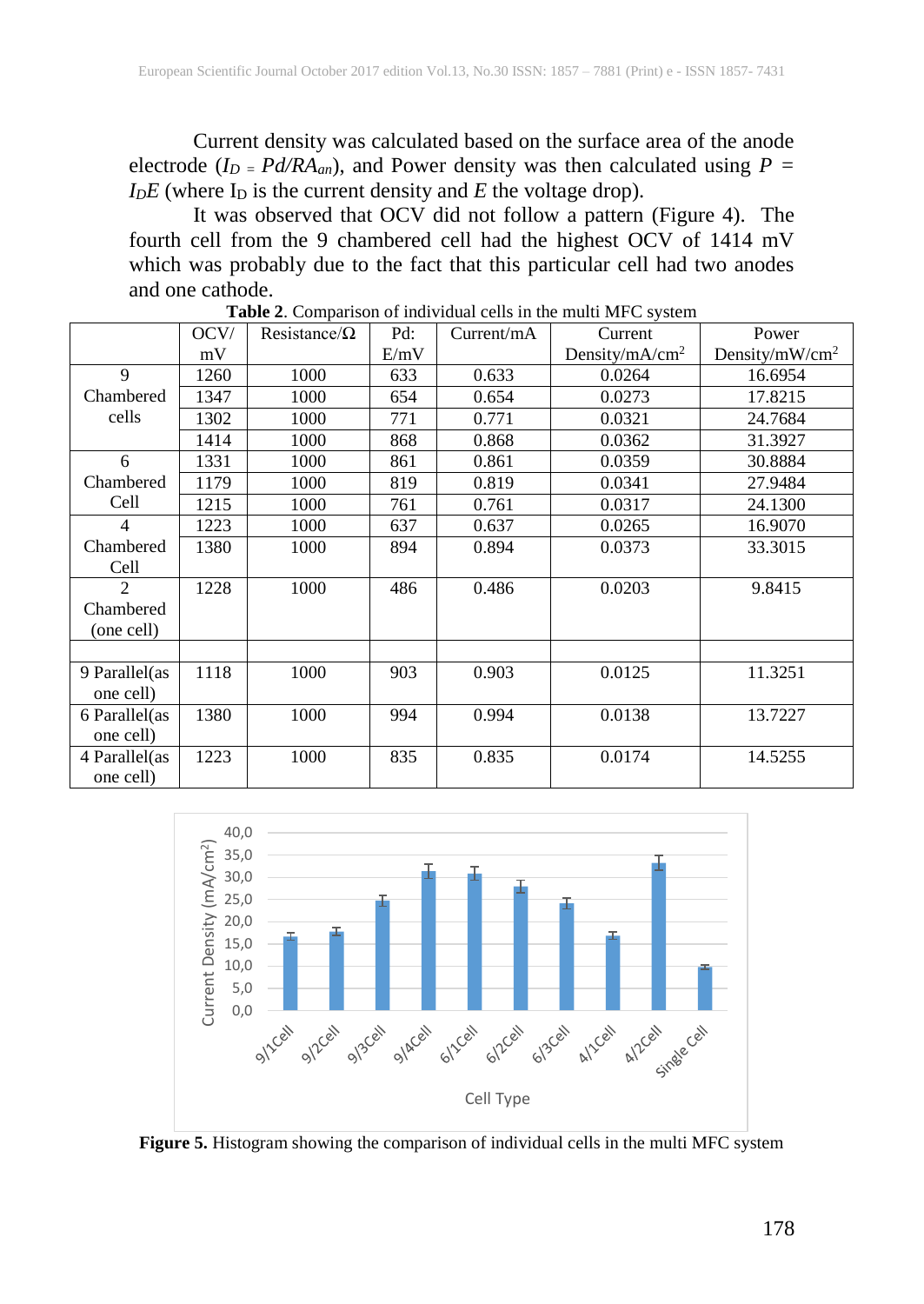Current density was calculated based on the surface area of the anode electrode ( $I_D = P d / R A_{an}$ ), and Power density was then calculated using  $P =$  $I<sub>D</sub>E$  (where  $I<sub>D</sub>$  is the current density and *E* the voltage drop).

It was observed that OCV did not follow a pattern (Figure 4). The fourth cell from the 9 chambered cell had the highest OCV of 1414 mV which was probably due to the fact that this particular cell had two anodes and one cathode.

|                | OCV/ | Resistance/ $\Omega$ | Pd:  | Current/mA | Current                    | Power                      |
|----------------|------|----------------------|------|------------|----------------------------|----------------------------|
|                | mV   |                      | E/mV |            | Density/mA/cm <sup>2</sup> | Density/mW/cm <sup>2</sup> |
| 9              | 1260 | 1000                 | 633  | 0.633      | 0.0264                     | 16.6954                    |
| Chambered      | 1347 | 1000                 | 654  | 0.654      | 0.0273                     | 17.8215                    |
| cells          | 1302 | 1000                 | 771  | 0.771      | 0.0321                     | 24.7684                    |
|                | 1414 | 1000                 | 868  | 0.868      | 0.0362                     | 31.3927                    |
| 6              | 1331 | 1000                 | 861  | 0.861      | 0.0359                     | 30.8884                    |
| Chambered      | 1179 | 1000                 | 819  | 0.819      | 0.0341                     | 27.9484                    |
| Cell           | 1215 | 1000                 | 761  | 0.761      | 0.0317                     | 24.1300                    |
| $\overline{4}$ | 1223 | 1000                 | 637  | 0.637      | 0.0265                     | 16.9070                    |
| Chambered      | 1380 | 1000                 | 894  | 0.894      | 0.0373                     | 33.3015                    |
| Cell           |      |                      |      |            |                            |                            |
| $\mathfrak{D}$ | 1228 | 1000                 | 486  | 0.486      | 0.0203                     | 9.8415                     |
| Chambered      |      |                      |      |            |                            |                            |
| (one cell)     |      |                      |      |            |                            |                            |
|                |      |                      |      |            |                            |                            |
| 9 Parallel(as  | 1118 | 1000                 | 903  | 0.903      | 0.0125                     | 11.3251                    |
| one cell)      |      |                      |      |            |                            |                            |
| 6 Parallel(as  | 1380 | 1000                 | 994  | 0.994      | 0.0138                     | 13.7227                    |
| one cell)      |      |                      |      |            |                            |                            |
| 4 Parallel(as  | 1223 | 1000                 | 835  | 0.835      | 0.0174                     | 14.5255                    |
| one cell)      |      |                      |      |            |                            |                            |

**Table 2**. Comparison of individual cells in the multi MFC system



**Figure 5.** Histogram showing the comparison of individual cells in the multi MFC system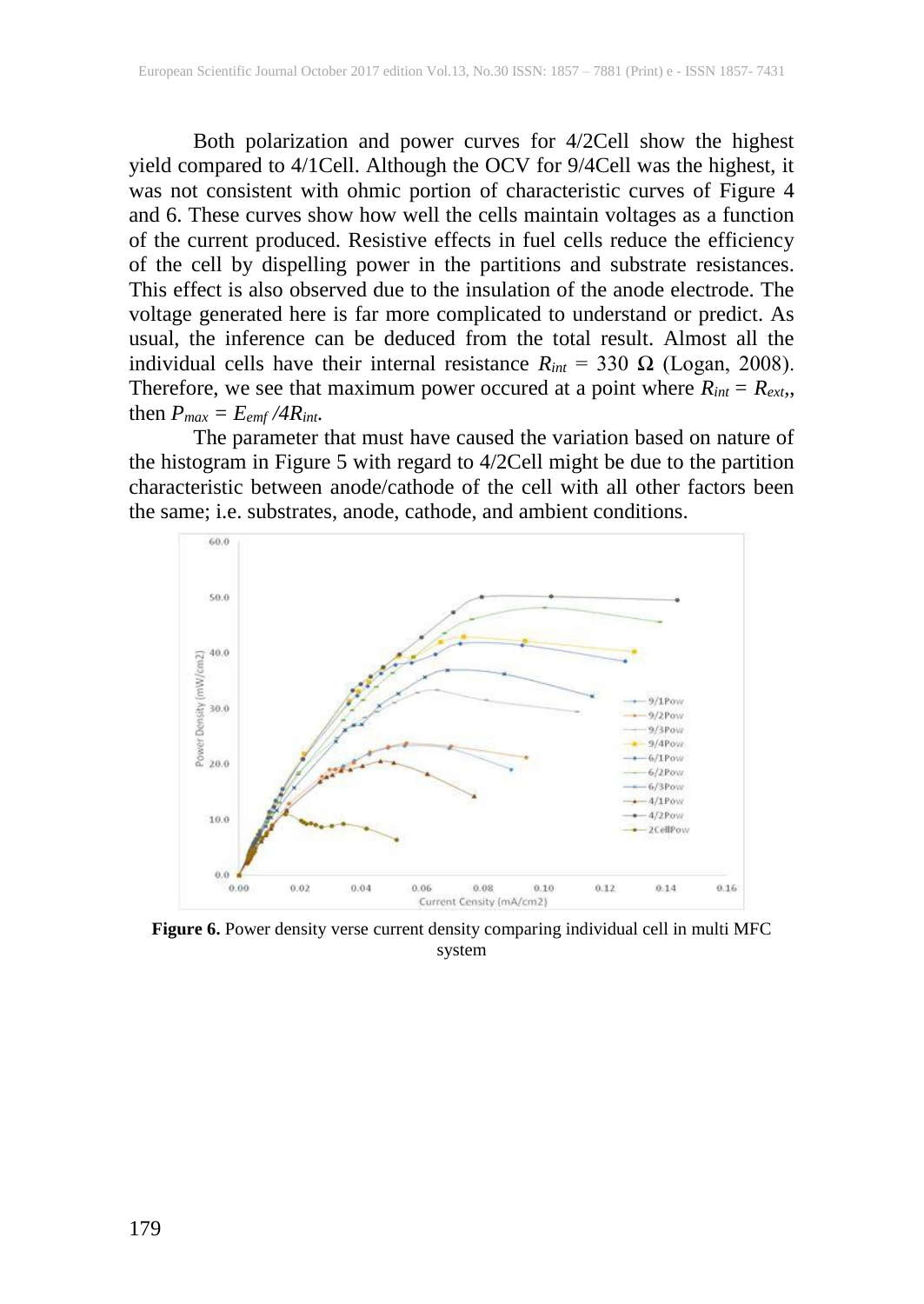Both polarization and power curves for 4/2Cell show the highest yield compared to 4/1Cell. Although the OCV for 9/4Cell was the highest, it was not consistent with ohmic portion of characteristic curves of Figure 4 and 6. These curves show how well the cells maintain voltages as a function of the current produced. Resistive effects in fuel cells reduce the efficiency of the cell by dispelling power in the partitions and substrate resistances. This effect is also observed due to the insulation of the anode electrode. The voltage generated here is far more complicated to understand or predict. As usual, the inference can be deduced from the total result. Almost all the individual cells have their internal resistance  $R_{int} = 330 \Omega$  (Logan, 2008). Therefore, we see that maximum power occured at a point where  $R_{int} = R_{ext}$ , then  $P_{max} = E_{emf} / 4R_{int}$ .

The parameter that must have caused the variation based on nature of the histogram in Figure 5 with regard to 4/2Cell might be due to the partition characteristic between anode/cathode of the cell with all other factors been the same; i.e. substrates, anode, cathode, and ambient conditions.



**Figure 6.** Power density verse current density comparing individual cell in multi MFC system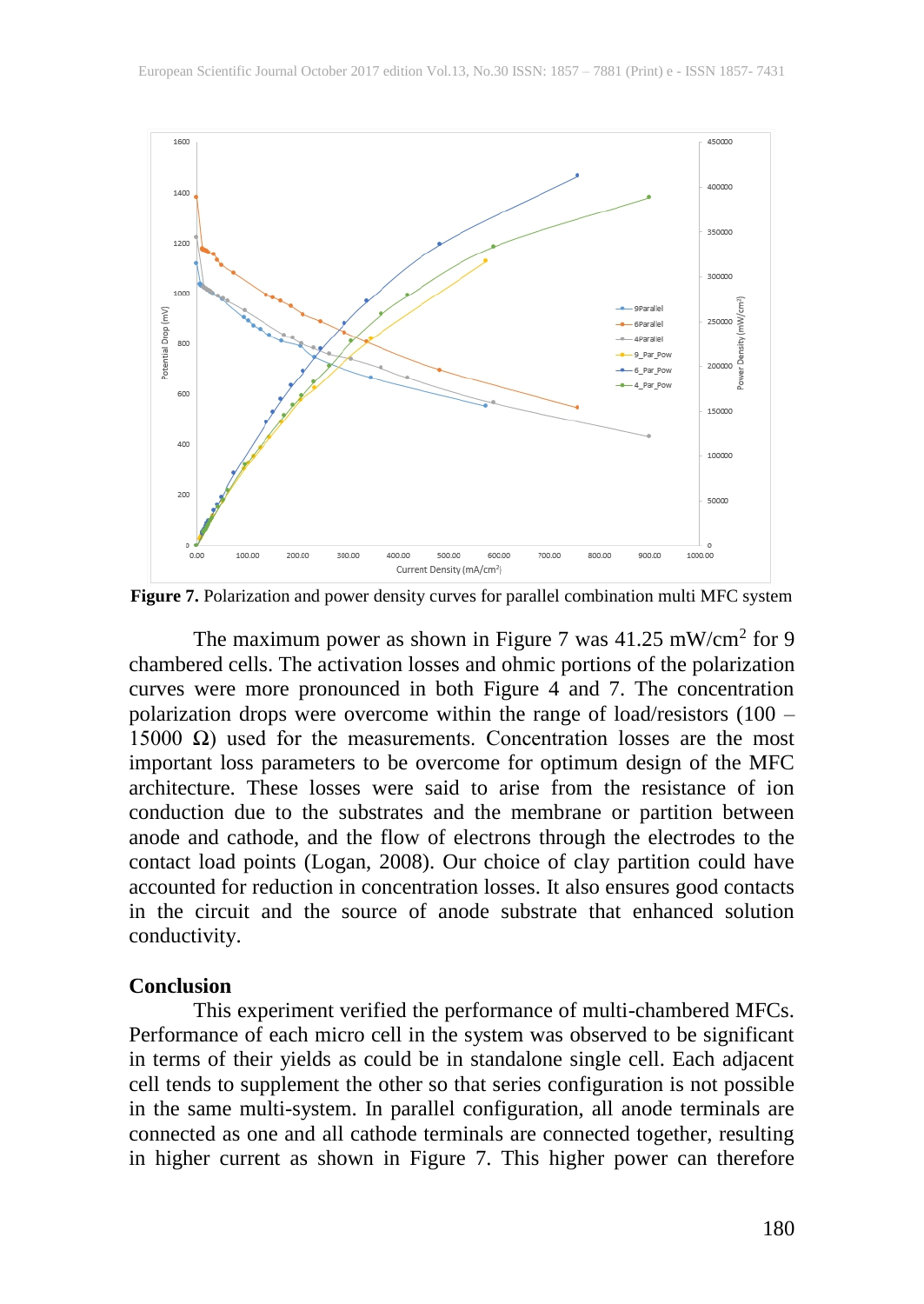

**Figure 7.** Polarization and power density curves for parallel combination multi MFC system

The maximum power as shown in Figure 7 was  $41.25 \text{ mW/cm}^2$  for 9 chambered cells. The activation losses and ohmic portions of the polarization curves were more pronounced in both Figure 4 and 7. The concentration polarization drops were overcome within the range of load/resistors (100 – 15000 Ω) used for the measurements. Concentration losses are the most important loss parameters to be overcome for optimum design of the MFC architecture. These losses were said to arise from the resistance of ion conduction due to the substrates and the membrane or partition between anode and cathode, and the flow of electrons through the electrodes to the contact load points (Logan, 2008). Our choice of clay partition could have accounted for reduction in concentration losses. It also ensures good contacts in the circuit and the source of anode substrate that enhanced solution conductivity.

#### **Conclusion**

This experiment verified the performance of multi-chambered MFCs. Performance of each micro cell in the system was observed to be significant in terms of their yields as could be in standalone single cell. Each adjacent cell tends to supplement the other so that series configuration is not possible in the same multi-system. In parallel configuration, all anode terminals are connected as one and all cathode terminals are connected together, resulting in higher current as shown in Figure 7. This higher power can therefore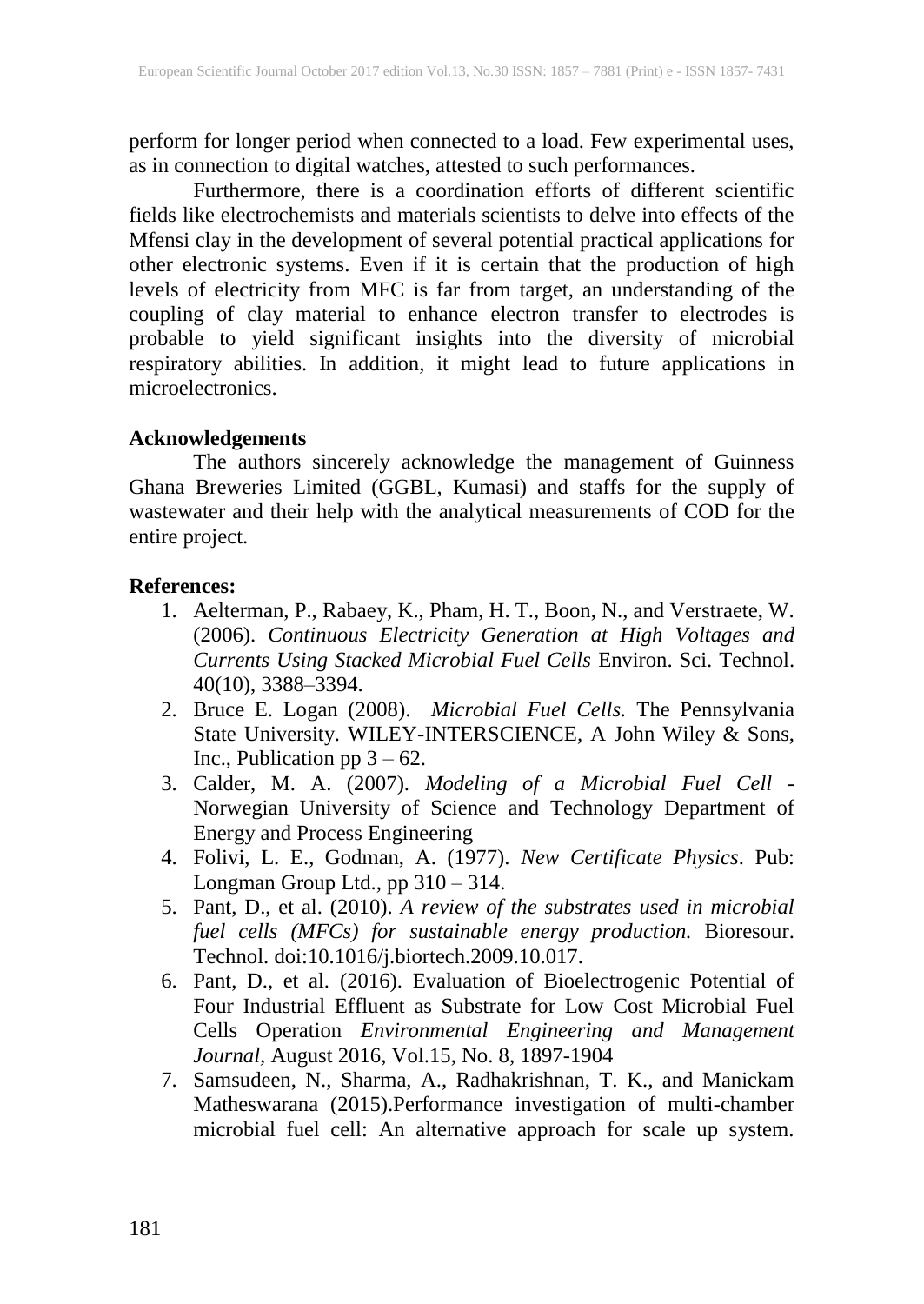perform for longer period when connected to a load. Few experimental uses, as in connection to digital watches, attested to such performances.

Furthermore, there is a coordination efforts of different scientific fields like electrochemists and materials scientists to delve into effects of the Mfensi clay in the development of several potential practical applications for other electronic systems. Even if it is certain that the production of high levels of electricity from MFC is far from target, an understanding of the coupling of clay material to enhance electron transfer to electrodes is probable to yield significant insights into the diversity of microbial respiratory abilities. In addition, it might lead to future applications in microelectronics.

### **Acknowledgements**

The authors sincerely acknowledge the management of Guinness Ghana Breweries Limited (GGBL, Kumasi) and staffs for the supply of wastewater and their help with the analytical measurements of COD for the entire project.

### **References:**

- 1. Aelterman, P., Rabaey, K., Pham, H. T., Boon, N., and Verstraete, W. (2006). *Continuous Electricity Generation at High Voltages and Currents Using Stacked Microbial Fuel Cells* Environ. Sci. Technol. 40(10), 3388–3394.
- 2. Bruce E. Logan (2008). *Microbial Fuel Cells.* The Pennsylvania State University. WILEY-INTERSCIENCE*,* A John Wiley & Sons, Inc., Publication pp  $3 - 62$ .
- 3. Calder, M. A. (2007). *Modeling of a Microbial Fuel Cell* Norwegian University of Science and Technology Department of Energy and Process Engineering
- 4. Folivi, L. E., Godman, A. (1977). *New Certificate Physics*. Pub: Longman Group Ltd., pp 310 – 314.
- 5. Pant, D., et al. (2010). *A review of the substrates used in microbial fuel cells (MFCs) for sustainable energy production.* Bioresour. Technol. doi:10.1016/j.biortech.2009.10.017.
- 6. Pant, D., et al. (2016). Evaluation of Bioelectrogenic Potential of Four Industrial Effluent as Substrate for Low Cost Microbial Fuel Cells Operation *Environmental Engineering and Management Journal,* August 2016, Vol.15, No. 8, 1897-1904
- 7. Samsudeen, N., Sharma, A., Radhakrishnan, T. K., and Manickam Matheswarana (2015).Performance investigation of multi-chamber microbial fuel cell: An alternative approach for scale up system.